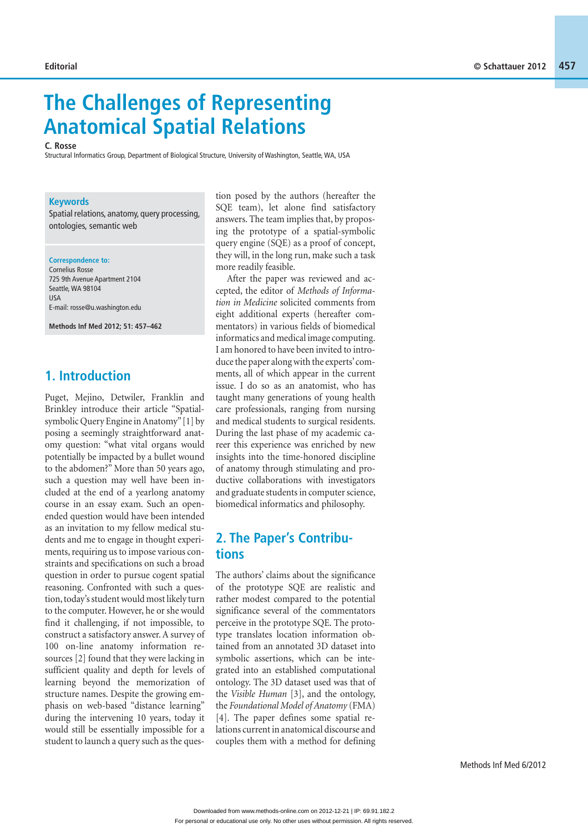# **The Challenges of Representing Anatomical Spatial Relations**

**C. Rosse** 

Structural Informatics Group, Department of Biological Structure, University of Washington, Seattle, WA, USA

#### **Keywords**

Spatial relations, anatomy, query processing, ontologies, semantic web

**Correspondence to:** 

Cornelius Rosse 725 9th Avenue Apartment 2104 Seattle, WA 98104  $IIS\Delta$ E-mail: rosse@u.washington.edu

**Methods Inf Med 2012; 51: 457–462**

#### **1. Introduction**

Puget, Mejino, Detwiler, Franklin and Brinkley introduce their article "Spatialsymbolic Query Engine in Anatomy" [1] by posing a seemingly straightforward anatomy question: "what vital organs would potentially be impacted by a bullet wound to the abdomen?" More than 50 years ago, such a question may well have been included at the end of a yearlong anatomy course in an essay exam. Such an openended question would have been intended as an invitation to my fellow medical students and me to engage in thought experiments, requiring us to impose various constraints and specifications on such a broad question in order to pursue cogent spatial reasoning. Confronted with such a question, today's student would most likely turn to the computer. However, he or she would find it challenging, if not impossible, to construct a satisfactory answer. A survey of 100 on-line anatomy information resources [2] found that they were lacking in sufficient quality and depth for levels of learning beyond the memorization of structure names. Despite the growing emphasis on web-based "distance learning" during the intervening 10 years, today it would still be essentially impossible for a student to launch a query such as the question posed by the authors (hereafter the SQE team), let alone find satisfactory answers. The team implies that, by proposing the prototype of a spatial-symbolic query engine (SQE) as a proof of concept, they will, in the long run, make such a task more readily feasible.

After the paper was reviewed and accepted, the editor of *Methods of Information in Medicine* solicited comments from eight additional experts (hereafter commentators) in various fields of biomedical informatics and medical image computing. I am honored to have been invited to introduce the paper along with the experts' comments, all of which appear in the current issue. I do so as an anatomist, who has taught many generations of young health care professionals, ranging from nursing and medical students to surgical residents. During the last phase of my academic career this experience was enriched by new insights into the time-honored discipline of anatomy through stimulating and productive collaborations with investigators and graduate students in computer science, biomedical informatics and philosophy.

### **2. The Paper's Contributions**

The authors' claims about the significance of the prototype SQE are realistic and rather modest compared to the potential significance several of the commentators perceive in the prototype SQE. The prototype translates location information obtained from an annotated 3D dataset into symbolic assertions, which can be integrated into an established computational ontology. The 3D dataset used was that of the *Visible Human* [3], and the ontology, the *Foundational Model of Anatomy* (FMA) [4]. The paper defines some spatial relations current in anatomical discourse and couples them with a method for defining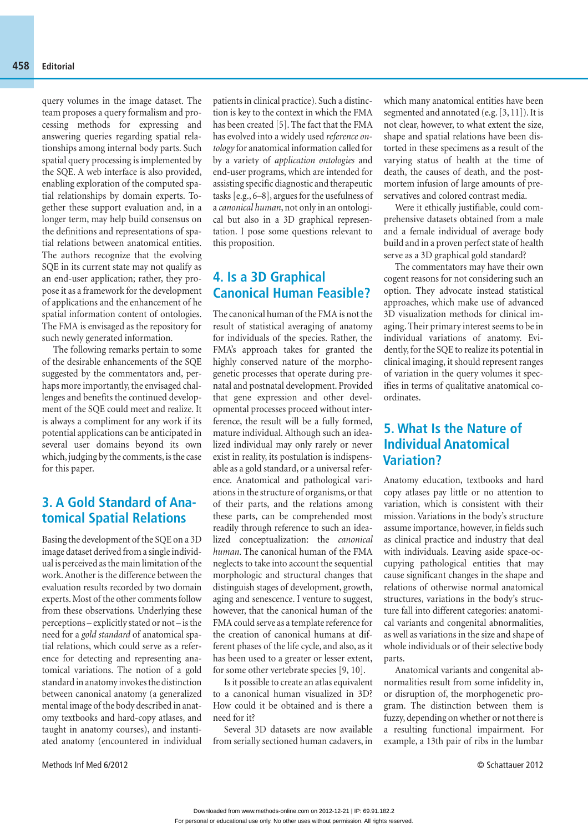query volumes in the image dataset. The team proposes a query formalism and processing methods for expressing and answering queries regarding spatial relationships among internal body parts. Such spatial query processing is implemented by the SQE. A web interface is also provided, enabling exploration of the computed spatial relationships by domain experts. Together these support evaluation and, in a longer term, may help build consensus on the definitions and representations of spatial relations between anatomical entities. The authors recognize that the evolving SQE in its current state may not qualify as an end-user application; rather, they propose it as a framework for the development of applications and the enhancement of he spatial information content of ontologies. The FMA is envisaged as the repository for such newly generated information.

The following remarks pertain to some of the desirable enhancements of the SQE suggested by the commentators and, perhaps more importantly, the envisaged challenges and benefits the continued development of the SQE could meet and realize. It is always a compliment for any work if its potential applications can be anticipated in several user domains beyond its own which, judging by the comments, is the case for this paper.

# **3. A Gold Standard of Anatomical Spatial Relations**

Basing the development of the SQE on a 3D image dataset derived from a single individual is perceived as the main limitation of the work. Another is the difference between the evaluation results recorded by two domain experts. Most of the other comments follow from these observations. Underlying these perceptions – explicitly stated or not – is the need for a *gold standard* of anatomical spatial relations, which could serve as a reference for detecting and representing anatomical variations. The notion of a gold standard in anatomy invokes the distinction between canonical anatomy (a generalized mental image of the body described in anatomy textbooks and hard-copy atlases, and taught in anatomy courses), and instantiated anatomy (encountered in individual

patients in clinical practice). Such a distinction is key to the context in which the FMA has been created [5]. The fact that the FMA has evolved into a widely used *reference ontology* for anatomical information called for by a variety of *application ontologies* and end-user programs, which are intended for assisting specific diagnostic and therapeutic tasks [e.g., 6–8], argues for the usefulness of a *canonical human*, not only in an ontological but also in a 3D graphical representation. I pose some questions relevant to this proposition.

#### **4. Is a 3D Graphical Canonical Human Feasible?**

The canonical human of the FMA is not the result of statistical averaging of anatomy for individuals of the species. Rather, the FMA's approach takes for granted the highly conserved nature of the morphogenetic processes that operate during prenatal and postnatal development. Provided that gene expression and other developmental processes proceed without interference, the result will be a fully formed, mature individual. Although such an idealized individual may only rarely or never exist in reality, its postulation is indispensable as a gold standard, or a universal reference. Anatomical and pathological variations in the structure of organisms, or that of their parts, and the relations among these parts, can be comprehended most readily through reference to such an idealized conceptualization: the *canonical human*. The canonical human of the FMA neglects to take into account the sequential morphologic and structural changes that distinguish stages of development, growth, aging and senescence. I venture to suggest, however, that the canonical human of the FMA could serve as a template reference for the creation of canonical humans at different phases of the life cycle, and also, as it has been used to a greater or lesser extent, for some other vertebrate species [9, 10].

Is it possible to create an atlas equivalent to a canonical human visualized in 3D? How could it be obtained and is there a need for it?

Several 3D datasets are now available from serially sectioned human cadavers, in

which many anatomical entities have been segmented and annotated (e.g. [3, 11]). It is not clear, however, to what extent the size, shape and spatial relations have been distorted in these specimens as a result of the varying status of health at the time of death, the causes of death, and the postmortem infusion of large amounts of preservatives and colored contrast media.

Were it ethically justifiable, could comprehensive datasets obtained from a male and a female individual of average body build and in a proven perfect state of health serve as a 3D graphical gold standard?

The commentators may have their own cogent reasons for not considering such an option. They advocate instead statistical approaches, which make use of advanced 3D visualization methods for clinical imaging. Their primary interest seems to be in individual variations of anatomy. Evidently, for the SQE to realize its potential in clinical imaging, it should represent ranges of variation in the query volumes it specifies in terms of qualitative anatomical coordinates.

# **5. What Is the Nature of Individual Anatomical Variation?**

Anatomy education, textbooks and hard copy atlases pay little or no attention to variation, which is consistent with their mission. Variations in the body's structure assume importance, however, in fields such as clinical practice and industry that deal with individuals. Leaving aside space-occupying pathological entities that may cause significant changes in the shape and relations of otherwise normal anatomical structures, variations in the body's structure fall into different categories: anatomical variants and congenital abnormalities, as well as variations in the size and shape of whole individuals or of their selective body parts.

Anatomical variants and congenital abnormalities result from some infidelity in, or disruption of, the morphogenetic program. The distinction between them is fuzzy, depending on whether or not there is a resulting functional impairment. For example, a 13th pair of ribs in the lumbar

Methods Inf Med 6/2012 © Schattauer 2012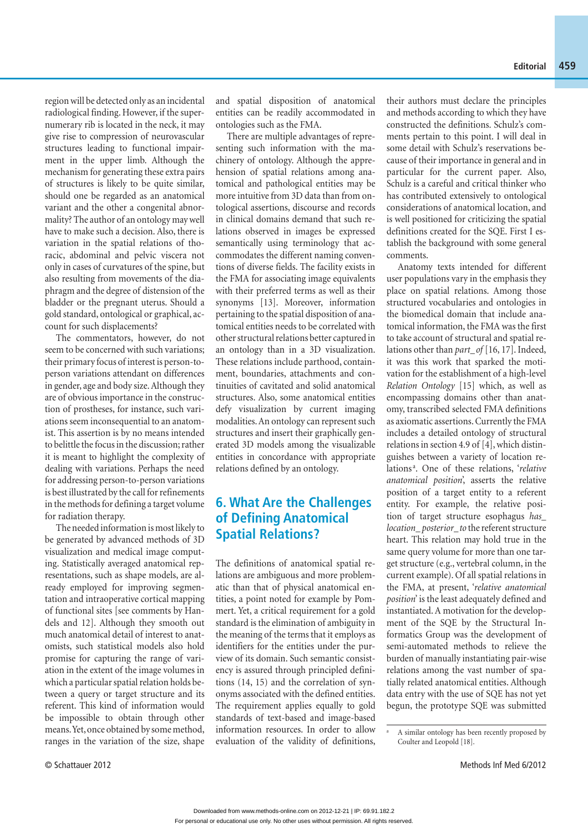region will be detected only as an incidental radiological finding. However, if the supernumerary rib is located in the neck, it may give rise to compression of neurovascular structures leading to functional impairment in the upper limb. Although the mechanism for generating these extra pairs of structures is likely to be quite similar, should one be regarded as an anatomical variant and the other a congenital abnormality? The author of an ontology may well have to make such a decision. Also, there is variation in the spatial relations of thoracic, abdominal and pelvic viscera not only in cases of curvatures of the spine, but also resulting from movements of the diaphragm and the degree of distension of the bladder or the pregnant uterus. Should a gold standard, ontological or graphical, account for such displacements?

The commentators, however, do not seem to be concerned with such variations; their primary focus of interest is person-toperson variations attendant on differences in gender, age and body size. Although they are of obvious importance in the construction of prostheses, for instance, such variations seem inconsequential to an anatomist. This assertion is by no means intended to belittle the focus in the discussion; rather it is meant to highlight the complexity of dealing with variations. Perhaps the need for addressing person-to-person variations is best illustrated by the call for refinements in the methods for defining a target volume for radiation therapy.

The needed information is most likely to be generated by advanced methods of 3D visualization and medical image computing. Statistically averaged anatomical representations, such as shape models, are already employed for improving segmentation and intraoperative cortical mapping of functional sites [see comments by Handels and 12]. Although they smooth out much anatomical detail of interest to anatomists, such statistical models also hold promise for capturing the range of variation in the extent of the image volumes in which a particular spatial relation holds between a query or target structure and its referent. This kind of information would be impossible to obtain through other means. Yet, once obtained by some method, ranges in the variation of the size, shape and spatial disposition of anatomical entities can be readily accommodated in ontologies such as the FMA.

There are multiple advantages of representing such information with the machinery of ontology. Although the apprehension of spatial relations among anatomical and pathological entities may be more intuitive from 3D data than from ontological assertions, discourse and records in clinical domains demand that such relations observed in images be expressed semantically using terminology that accommodates the different naming conventions of diverse fields. The facility exists in the FMA for associating image equivalents with their preferred terms as well as their synonyms [13]. Moreover, information pertaining to the spatial disposition of anatomical entities needs to be correlated with other structural relations better captured in an ontology than in a 3D visualization. These relations include parthood, containment, boundaries, attachments and continuities of cavitated and solid anatomical structures. Also, some anatomical entities defy visualization by current imaging modalities. An ontology can represent such structures and insert their graphically generated 3D models among the visualizable entities in concordance with appropriate relations defined by an ontology.

### **6. What Are the Challenges of Defining Anatomical Spatial Relations?**

The definitions of anatomical spatial relations are ambiguous and more problematic than that of physical anatomical entities, a point noted for example by Pommert. Yet, a critical requirement for a gold standard is the elimination of ambiguity in the meaning of the terms that it employs as identifiers for the entities under the purview of its domain. Such semantic consistency is assured through principled definitions (14, 15) and the correlation of synonyms associated with the defined entities. The requirement applies equally to gold standards of text-based and image-based information resources. In order to allow evaluation of the validity of definitions, their authors must declare the principles and methods according to which they have constructed the definitions. Schulz's comments pertain to this point. I will deal in some detail with Schulz's reservations because of their importance in general and in particular for the current paper. Also, Schulz is a careful and critical thinker who has contributed extensively to ontological considerations of anatomical location, and is well positioned for criticizing the spatial definitions created for the SQE. First I establish the background with some general comments.

Anatomy texts intended for different user populations vary in the emphasis they place on spatial relations. Among those structured vocabularies and ontologies in the biomedical domain that include anatomical information, the FMA was the first to take account of structural and spatial relations other than *part\_ of* [16, 17]. Indeed, it was this work that sparked the motivation for the establishment of a high-level *Relation Ontology* [15] which, as well as encompassing domains other than anatomy, transcribed selected FMA definitions as axiomatic assertions. Currently the FMA includes a detailed ontology of structural relations in section 4.9 of [4], which distinguishes between a variety of location relations<sup>a</sup>. One of these relations, 'relative *anatomical position*', asserts the relative position of a target entity to a referent entity. For example, the relative position of target structure esophagus *has\_ location\_ posterior\_ to* the referent structure heart. This relation may hold true in the same query volume for more than one target structure (e.g., vertebral column, in the current example). Of all spatial relations in the FMA, at present, '*relative anatomical position*' is the least adequately defined and instantiated. A motivation for the development of the SQE by the Structural Informatics Group was the development of semi-automated methods to relieve the burden of manually instantiating pair-wise relations among the vast number of spatially related anatomical entities. Although data entry with the use of SQE has not yet begun, the prototype SQE was submitted

a

A similar ontology has been recently proposed by Coulter and Leopold [18].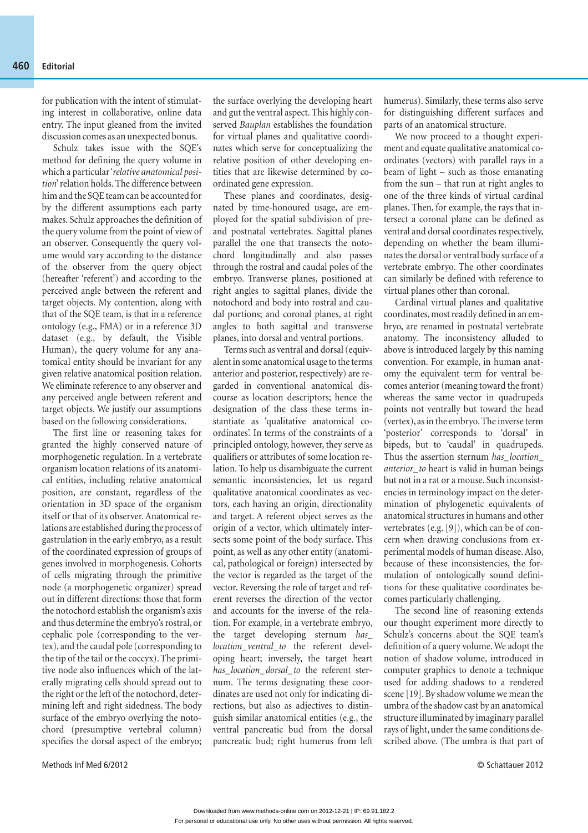for publication with the intent of stimulating interest in collaborative, online data entry. The input gleaned from the invited discussion comes as an unexpected bonus.

Schulz takes issue with the SQE's method for defining the query volume in which a particular '*relative anatomical position*' relation holds. The difference between him and the SQE team can be accounted for by the different assumptions each party makes. Schulz approaches the definition of the query volume from the point of view of an observer. Consequently the query volume would vary according to the distance of the observer from the query object (hereafter 'referent') and according to the perceived angle between the referent and target objects. My contention, along with that of the SQE team, is that in a reference ontology (e.g., FMA) or in a reference 3D dataset (e.g., by default, the Visible Human), the query volume for any anatomical entity should be invariant for any given relative anatomical position relation. We eliminate reference to any observer and any perceived angle between referent and target objects. We justify our assumptions based on the following considerations.

The first line or reasoning takes for granted the highly conserved nature of morphogenetic regulation. In a vertebrate organism location relations of its anatomical entities, including relative anatomical position, are constant, regardless of the orientation in 3D space of the organism itself or that of its observer. Anatomical relations are established during the process of gastrulation in the early embryo, as a result of the coordinated expression of groups of genes involved in morphogenesis. Cohorts of cells migrating through the primitive node (a morphogenetic organizer) spread out in different directions: those that form the notochord establish the organism's axis and thus determine the embryo's rostral, or cephalic pole (corresponding to the vertex), and the caudal pole (corresponding to the tip of the tail or the coccyx). The primitive node also influences which of the laterally migrating cells should spread out to the right or the left of the notochord, determining left and right sidedness. The body surface of the embryo overlying the notochord (presumptive vertebral column) specifies the dorsal aspect of the embryo;

the surface overlying the developing heart and gut the ventral aspect. This highly conserved *Bauplan* establishes the foundation for virtual planes and qualitative coordinates which serve for conceptualizing the relative position of other developing entities that are likewise determined by coordinated gene expression.

These planes and coordinates, designated by time-honoured usage, are employed for the spatial subdivision of preand postnatal vertebrates. Sagittal planes parallel the one that transects the notochord longitudinally and also passes through the rostral and caudal poles of the embryo. Transverse planes, positioned at right angles to sagittal planes, divide the notochord and body into rostral and caudal portions; and coronal planes, at right angles to both sagittal and transverse planes, into dorsal and ventral portions.

Terms such as ventral and dorsal (equivalent in some anatomical usage to the terms anterior and posterior, respectively) are regarded in conventional anatomical discourse as location descriptors; hence the designation of the class these terms instantiate as 'qualitative anatomical coordinates'. In terms of the constraints of a principled ontology, however, they serve as qualifiers or attributes of some location relation. To help us disambiguate the current semantic inconsistencies, let us regard qualitative anatomical coordinates as vectors, each having an origin, directionality and target. A referent object serves as the origin of a vector, which ultimately intersects some point of the body surface. This point, as well as any other entity (anatomical, pathological or foreign) intersected by the vector is regarded as the target of the vector. Reversing the role of target and referent reverses the direction of the vector and accounts for the inverse of the relation. For example, in a vertebrate embryo, the target developing sternum *has\_ location\_ ventral\_ to* the referent developing heart; inversely, the target heart *has\_ location\_ dorsal\_ to* the referent sternum. The terms designating these coordinates are used not only for indicating directions, but also as adjectives to distinguish similar anatomical entities (e.g., the ventral pancreatic bud from the dorsal pancreatic bud; right humerus from left

humerus). Similarly, these terms also serve for distinguishing different surfaces and parts of an anatomical structure.

We now proceed to a thought experiment and equate qualitative anatomical coordinates (vectors) with parallel rays in a beam of light – such as those emanating from the sun – that run at right angles to one of the three kinds of virtual cardinal planes. Then, for example, the rays that intersect a coronal plane can be defined as ventral and dorsal coordinates respectively, depending on whether the beam illuminates the dorsal or ventral body surface of a vertebrate embryo. The other coordinates can similarly be defined with reference to virtual planes other than coronal.

Cardinal virtual planes and qualitative coordinates, most readily defined in an embryo, are renamed in postnatal vertebrate anatomy. The inconsistency alluded to above is introduced largely by this naming convention. For example, in human anatomy the equivalent term for ventral becomes anterior (meaning toward the front) whereas the same vector in quadrupeds points not ventrally but toward the head (vertex), as in the embryo. The inverse term 'posterior' corresponds to 'dorsal' in bipeds, but to 'caudal' in quadrupeds. Thus the assertion sternum *has\_ location\_ anterior\_ to* heart is valid in human beings but not in a rat or a mouse. Such inconsistencies in terminology impact on the determination of phylogenetic equivalents of anatomical structures in humans and other vertebrates (e.g. [9]), which can be of concern when drawing conclusions from experimental models of human disease. Also, because of these inconsistencies, the formulation of ontologically sound definitions for these qualitative coordinates becomes particularly challenging.

The second line of reasoning extends our thought experiment more directly to Schulz's concerns about the SQE team's definition of a query volume. We adopt the notion of shadow volume, introduced in computer graphics to denote a technique used for adding shadows to a rendered scene [19]. By shadow volume we mean the umbra of the shadow cast by an anatomical structure illuminated by imaginary parallel rays of light, under the same conditions described above. (The umbra is that part of

Methods Inf Med 6/2012 © Schattauer 2012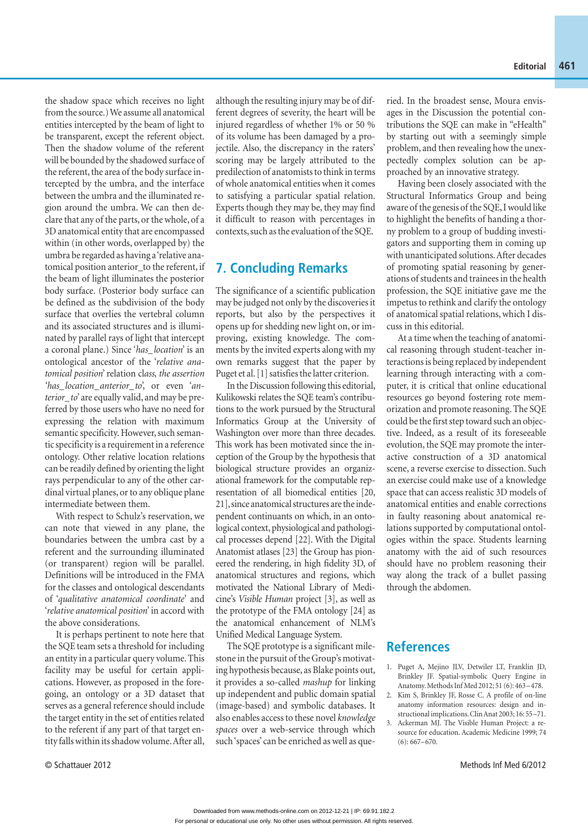the shadow space which receives no light from the source.) We assume all anatomical entities intercepted by the beam of light to be transparent, except the referent object. Then the shadow volume of the referent will be bounded by the shadowed surface of the referent, the area of the body surface intercepted by the umbra, and the interface between the umbra and the illuminated region around the umbra. We can then declare that any of the parts, or the whole, of a 3D anatomical entity that are encompassed within (in other words, overlapped by) the umbra be regarded as having a 'relative anatomical position anterior to the referent, if the beam of light illuminates the posterior body surface. (Posterior body surface can be defined as the subdivision of the body surface that overlies the vertebral column and its associated structures and is illuminated by parallel rays of light that intercept a coronal plane.) Since '*has\_ location*' is an ontological ancestor of the '*relative anatomical position*' relation cl*ass, the assertion 'has\_ location\_ anterior\_ to*', or even '*an terior\_ to*' are equally valid, and may be preferred by those users who have no need for expressing the relation with maximum semantic specificity. However, such seman tic specificity is a requirement in a reference ontology. Other relative location relations can be readily defined by orienting the light rays perpendicular to any of the other cardinal virtual planes, or to any oblique plane intermediate between them.

With respect to Schulz's reservation, we can note that viewed in any plane, the boundaries between the umbra cast by a referent and the surrounding illuminated (or transparent) region will be parallel. Definitions will be introduced in the FMA for the classes and ontological descendants of '*qualitative anatomical coordinate*' and '*relative anatomical position*' in accord with the above considerations.

It is perhaps pertinent to note here that the SQE team sets a threshold for including an entity in a particular query volume. This facility may be useful for certain applications. However, as proposed in the foregoing, an ontology or a 3D dataset that serves as a general reference should include the target entity in the set of entities related to the referent if any part of that target entity falls within its shadow volume. After all,

although the resulting injury may be of different degrees of severity, the heart will be injured regardless of whether 1% or 50 % of its volume has been damaged by a projectile. Also, the discrepancy in the raters' scoring may be largely attributed to the predilection of anatomists to think in terms of whole anatomical entities when it comes to satisfying a particular spatial relation. Experts though they may be, they may find it difficult to reason with percentages in contexts, such as the evaluation of the SQE.

#### **7. Concluding Remarks**

The significance of a scientific publication may be judged not only by the discoveries it reports, but also by the perspectives it opens up for shedding new light on, or improving, existing knowledge. The comments by the invited experts along with my own remarks suggest that the paper by Puget et al. [1] satisfies the latter criterion.

In the Discussion following this editorial, Kulikowski relates the SQE team's contributions to the work pursued by the Structural Informatics Group at the University of Washington over more than three decades. This work has been motivated since the inception of the Group by the hypothesis that biological structure provides an organizational framework for the computable representation of all biomedical entities [20, 21], since anatomical structures are the independent continuants on which, in an ontological context, physiological and pathological processes depend [22]. With the Digital Anatomist atlases [23] the Group has pioneered the rendering, in high fidelity 3D, of anatomical structures and regions, which motivated the National Library of Medicine's *Visible Human* project [3], as well as the prototype of the FMA ontology [24] as the anatomical enhancement of NLM's Unified Medical Language System.

The SQE prototype is a significant milestone in the pursuit of the Group's motivating hypothesis because, as Blake points out, it provides a so-called *mashup* for linking up independent and public domain spatial (image-based) and symbolic databases. It also enables access to these novel *knowledge spaces* over a web-service through which such 'spaces' can be enriched as well as queried. In the broadest sense, Moura envisages in the Discussion the potential contributions the SQE can make in "eHealth" by starting out with a seemingly simple problem, and then revealing how the unexpectedly complex solution can be approached by an innovative strategy.

Having been closely associated with the Structural Informatics Group and being aware of the genesis of the SQE, I would like to highlight the benefits of handing a thorny problem to a group of budding investigators and supporting them in coming up with unanticipated solutions. After decades of promoting spatial reasoning by generations of students and trainees in the health profession, the SQE initiative gave me the impetus to rethink and clarify the ontology of anatomical spatial relations, which I discuss in this editorial.

At a time when the teaching of anatomical reasoning through student-teacher interactions is being replaced by independent learning through interacting with a computer, it is critical that online educational resources go beyond fostering rote memorization and promote reasoning. The SQE could be the first step toward such an objective. Indeed, as a result of its foreseeable evolution, the SQE may promote the interactive construction of a 3D anatomical scene, a reverse exercise to dissection. Such an exercise could make use of a knowledge space that can access realistic 3D models of anatomical entities and enable corrections in faulty reasoning about anatomical relations supported by computational ontologies within the space. Students learning anatomy with the aid of such resources should have no problem reasoning their way along the track of a bullet passing through the abdomen.

#### **References**

- 1. Puget A, Mejino JLV, Detwiler LT, Franklin JD, Brinkley JF. Spatial-symbolic Query Engine in Anatomy. Methods Inf Med 2012; 51 (6): 463 – 478.
- 2. Kim S, Brinkley JF, Rosse C. A profile of on-line anatomy information resources: design and instructional implications. Clin Anat 2003; 16: 55 –71.
- 3. Ackerman MJ. The Visible Human Project: a resource for education. Academic Medicine 1999; 74  $(6): 667 - 670.$

© Schattauer 2012 Methods Inf Med 6/2012